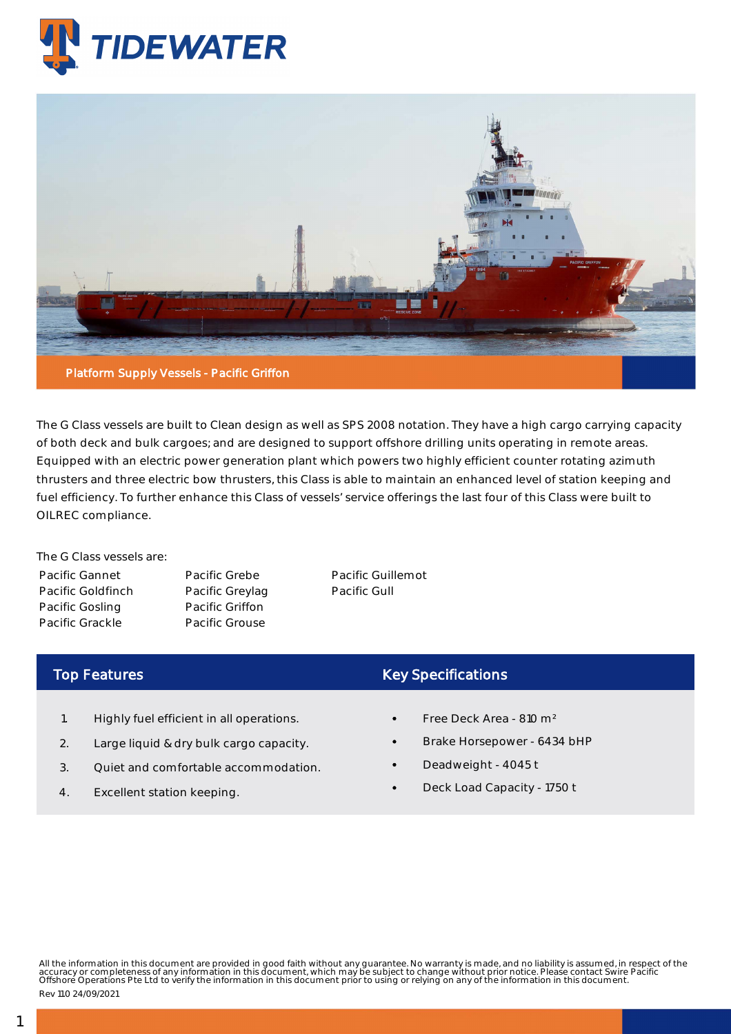



The G Class vessels are built to Clean design as well as SPS 2008 notation. They have a high cargo carrying capacity of both deck and bulk cargoes; and are designed to support offshore drilling units operating in remote areas. Equipped with an electric power generation plant which powers two highly efficient counter rotating azimuth thrusters and three electric bow thrusters, this Class is able to maintain an enhanced level of station keeping and fuel efficiency. To further enhance this Class of vessels' service offerings the last four of this Class were built to OILREC compliance.

The G Class vessels are: Pacific Gannet Pacific Goldfinch Pacific Gosling Pacific Grackle

Pacific Grebe Pacific Greylag Pacific Griffon Pacific Grouse

Pacific Guillemot Pacific Gull

## Top Features

- 1. Highly fuel efficient in all operations.
- 2. Large liquid & dry bulk cargo capacity.
- 3. Quiet and comfortable accommodation.
- 4. Excellent station keeping.

## Key Specifications

- Free Deck Area 810 m²
- Brake Horsepower 6434 bHP
- Deadweight 4045 t
- Deck Load Capacity 1750 t

All the information in this document are provided in good faith without any guarantee. No warranty is made, and no liability is assumed, in respect of the<br>accuracy or completeness of any information in this document, which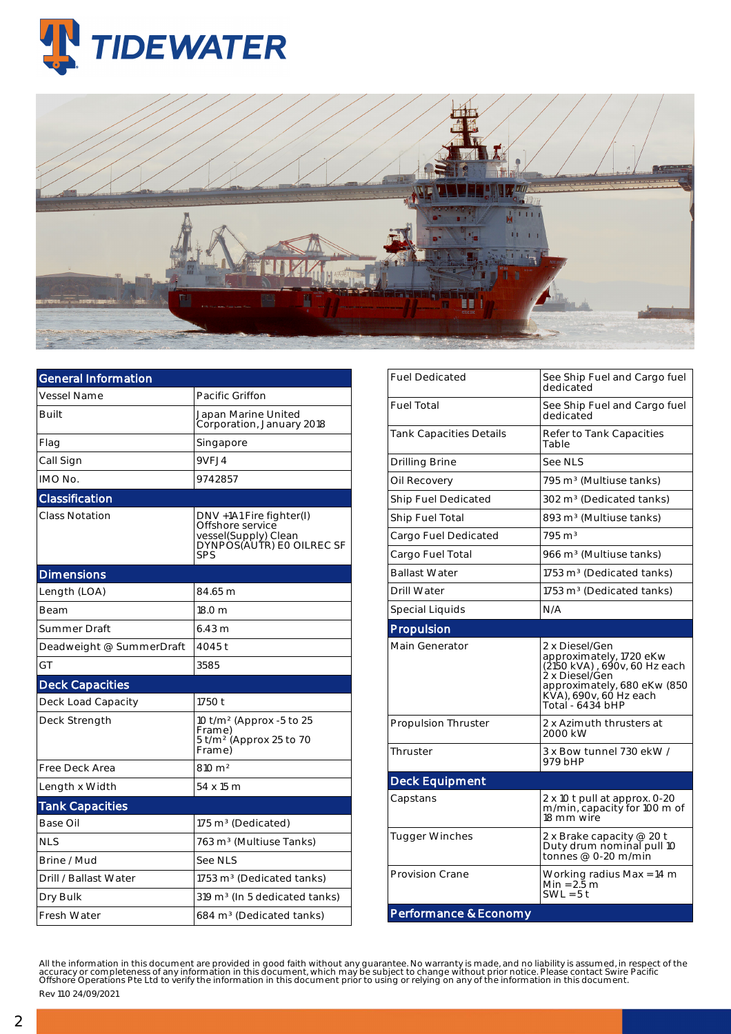



| <b>General Information</b> |                                                                                                          |  |  |  |  |
|----------------------------|----------------------------------------------------------------------------------------------------------|--|--|--|--|
| <b>Vessel Name</b>         | Pacific Griffon                                                                                          |  |  |  |  |
| Built                      | Japan Marine United<br>Corporation, January 2018                                                         |  |  |  |  |
| Flag                       | Singapore                                                                                                |  |  |  |  |
| Call Sign                  | 9VFJ4                                                                                                    |  |  |  |  |
| IMO No.                    | 9742857                                                                                                  |  |  |  |  |
| Classification             |                                                                                                          |  |  |  |  |
| <b>Class Notation</b>      | DNV +1A1 Fire fighter(I)<br>Offshore service<br>vessel(Supply) Clean<br>DYNPOS(AUTR) EO OILREC SF<br>SPS |  |  |  |  |
| <b>Dimensions</b>          |                                                                                                          |  |  |  |  |
| Length (LOA)               | 84.65 m                                                                                                  |  |  |  |  |
| Beam                       | 18.0 m                                                                                                   |  |  |  |  |
| Summer Draft               | $6.43 \text{ m}$                                                                                         |  |  |  |  |
| Deadweight @ SummerDraft   | 4045 t                                                                                                   |  |  |  |  |
| GT                         | 3585                                                                                                     |  |  |  |  |
| <b>Deck Capacities</b>     |                                                                                                          |  |  |  |  |
| Deck Load Capacity         | 1750 t                                                                                                   |  |  |  |  |
| Deck Strength              | 10 t/m <sup>2</sup> (Approx -5 to 25<br>Frame)<br>5 t/m <sup>2</sup> (Approx 25 to 70<br>Frame)          |  |  |  |  |
| Free Deck Area             | 810 m <sup>2</sup>                                                                                       |  |  |  |  |
| Length x Width             | 54 x 15 m                                                                                                |  |  |  |  |
| <b>Tank Capacities</b>     |                                                                                                          |  |  |  |  |
| Base Oil                   | 175 m <sup>3</sup> (Dedicated)                                                                           |  |  |  |  |
| <b>NLS</b>                 | 763 m <sup>3</sup> (Multiuse Tanks)                                                                      |  |  |  |  |
| Brine / Mud                | See NLS                                                                                                  |  |  |  |  |
| Drill / Ballast Water      | 1753 m <sup>3</sup> (Dedicated tanks)                                                                    |  |  |  |  |
| Dry Bulk                   | 319 m <sup>3</sup> (In 5 dedicated tanks)                                                                |  |  |  |  |
| Fresh Water                | 684 m <sup>3</sup> (Dedicated tanks)                                                                     |  |  |  |  |

| <b>Fuel Dedicated</b>          | See Ship Fuel and Cargo fuel<br>dedicated                                                                                                                                |  |  |  |  |
|--------------------------------|--------------------------------------------------------------------------------------------------------------------------------------------------------------------------|--|--|--|--|
| <b>Fuel Total</b>              | See Ship Fuel and Cargo fuel<br>dedicated                                                                                                                                |  |  |  |  |
| <b>Tank Capacities Details</b> | Refer to Tank Capacities<br>Table                                                                                                                                        |  |  |  |  |
| Drilling Brine                 | See NLS                                                                                                                                                                  |  |  |  |  |
| Oil Recovery                   | 795 m <sup>3</sup> (Multiuse tanks)                                                                                                                                      |  |  |  |  |
| <b>Ship Fuel Dedicated</b>     | 302 m <sup>3</sup> (Dedicated tanks)                                                                                                                                     |  |  |  |  |
| Ship Fuel Total                | 893 m <sup>3</sup> (Multiuse tanks)                                                                                                                                      |  |  |  |  |
| Cargo Fuel Dedicated           | $795 \text{ m}^3$                                                                                                                                                        |  |  |  |  |
| Cargo Fuel Total               | 966 m <sup>3</sup> (Multiuse tanks)                                                                                                                                      |  |  |  |  |
| <b>Ballast Water</b>           | 1753 m <sup>3</sup> (Dedicated tanks)                                                                                                                                    |  |  |  |  |
| <b>Drill Water</b>             | 1753 m <sup>3</sup> (Dedicated tanks)                                                                                                                                    |  |  |  |  |
| Special Liquids                | N/A                                                                                                                                                                      |  |  |  |  |
| Propulsion                     |                                                                                                                                                                          |  |  |  |  |
| Main Generator                 | 2 x Diesel/Gen<br>approximately, 1720 eKw<br>(2150 kVA), 690v, 60 Hz each<br>2 x Diesel/Gen<br>approximately, 680 eKw (850<br>KVA), 690v, 60 Hz each<br>Total - 6434 bHP |  |  |  |  |
|                                |                                                                                                                                                                          |  |  |  |  |
| <b>Propulsion Thruster</b>     | 2 x Azimuth thrusters at<br>2000 kW                                                                                                                                      |  |  |  |  |
| Thruster                       | 3 x Bow tunnel 730 ekW /<br>979 bHP                                                                                                                                      |  |  |  |  |
| <b>Deck Equipment</b>          |                                                                                                                                                                          |  |  |  |  |
| Capstans                       | 2 x 10 t pull at approx. 0-20<br>m/min, capacity for 100 m of<br>18 mm wire                                                                                              |  |  |  |  |
| <b>Tugger Winches</b>          | 2 x Brake capacity @ 20 t<br>Duty drum nominal pull 10<br>tonnes @ 0-20 m/min                                                                                            |  |  |  |  |
| <b>Provision Crane</b>         | Working radius Max = 14 m<br>Min = 2.5 m<br>$SWL = 5t$                                                                                                                   |  |  |  |  |

All the information in this document are provided in good faith without any guarantee. No warranty is made, and no liability is assumed, in respect of the<br>accuracy or completeness of any information in this document, which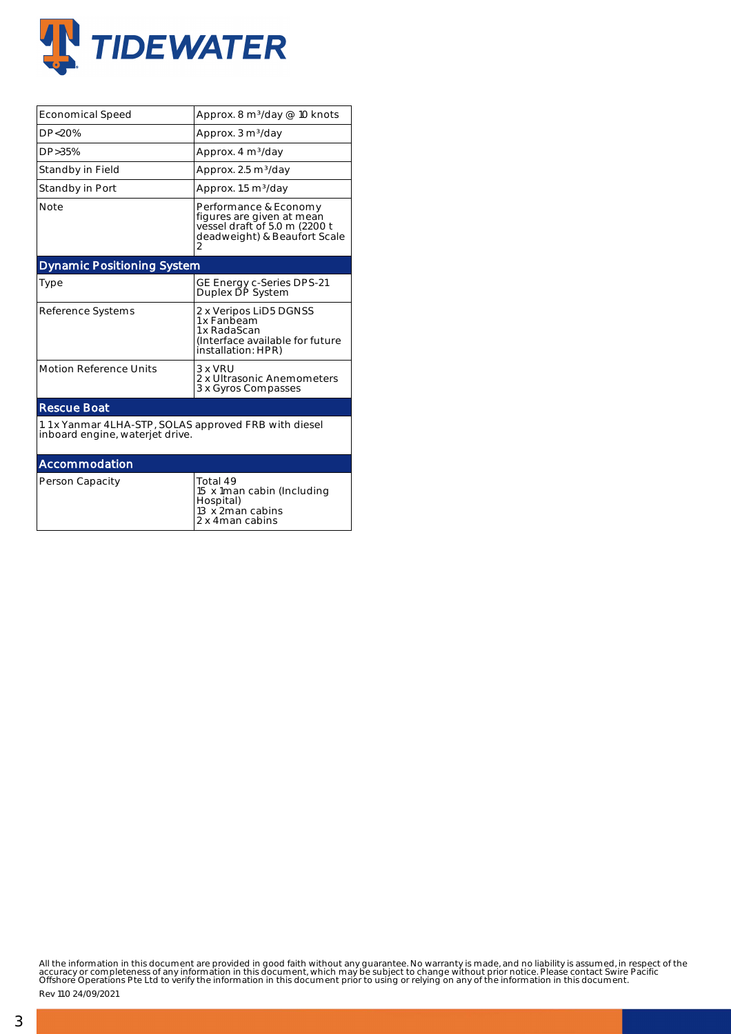

| <b>Economical Speed</b>                                                                  | Approx. 8 m <sup>3</sup> /day @ 10 knots                                                                                 |  |  |  |  |  |
|------------------------------------------------------------------------------------------|--------------------------------------------------------------------------------------------------------------------------|--|--|--|--|--|
| DP <sub>20%</sub>                                                                        | Approx. 3 m <sup>3</sup> /day                                                                                            |  |  |  |  |  |
| DP>35%                                                                                   | Approx. 4 m <sup>3</sup> /day                                                                                            |  |  |  |  |  |
| Standby in Field                                                                         | Approx. 2.5 m <sup>3</sup> /day                                                                                          |  |  |  |  |  |
| Standby in Port                                                                          | Approx. 1.5 m <sup>3</sup> /day                                                                                          |  |  |  |  |  |
| <b>Note</b>                                                                              | Performance & Economy<br>figures are given at mean<br>vessel draft of 5.0 m (2200 t<br>deadweight) & Beaufort Scale<br>2 |  |  |  |  |  |
| <b>Dynamic Positioning System</b>                                                        |                                                                                                                          |  |  |  |  |  |
| Type                                                                                     | GE Energy c-Series DPS-21<br>Duplex DP System                                                                            |  |  |  |  |  |
| Reference Systems                                                                        | 2 x Veripos LiD5 DGNSS<br>1 x Fanbeam<br>1 x RadaScan<br>(Interface available for future<br>installation: HPR)           |  |  |  |  |  |
| <b>Motion Reference Units</b>                                                            | $3 \times VRI$<br>2 x Ultrasonic Anemometers<br>3 x Gyros Compasses                                                      |  |  |  |  |  |
| <b>Rescue Boat</b>                                                                       |                                                                                                                          |  |  |  |  |  |
| 1.1 x Yanmar 4LHA-STP, SOLAS approved FRB with diesel<br>inboard engine, waterjet drive. |                                                                                                                          |  |  |  |  |  |
| Accommodation                                                                            |                                                                                                                          |  |  |  |  |  |
| Person Capacity                                                                          | Total 49<br>15 x 1 man cabin (Including<br>Hospital)<br>13 x 2 man cabins<br>2 x 4man cabins                             |  |  |  |  |  |

All the information in this document are provided in good faith without any guarantee. No warranty is made, and no liability is assumed, in respect of the<br>accuracy or completeness of any information in this document, which